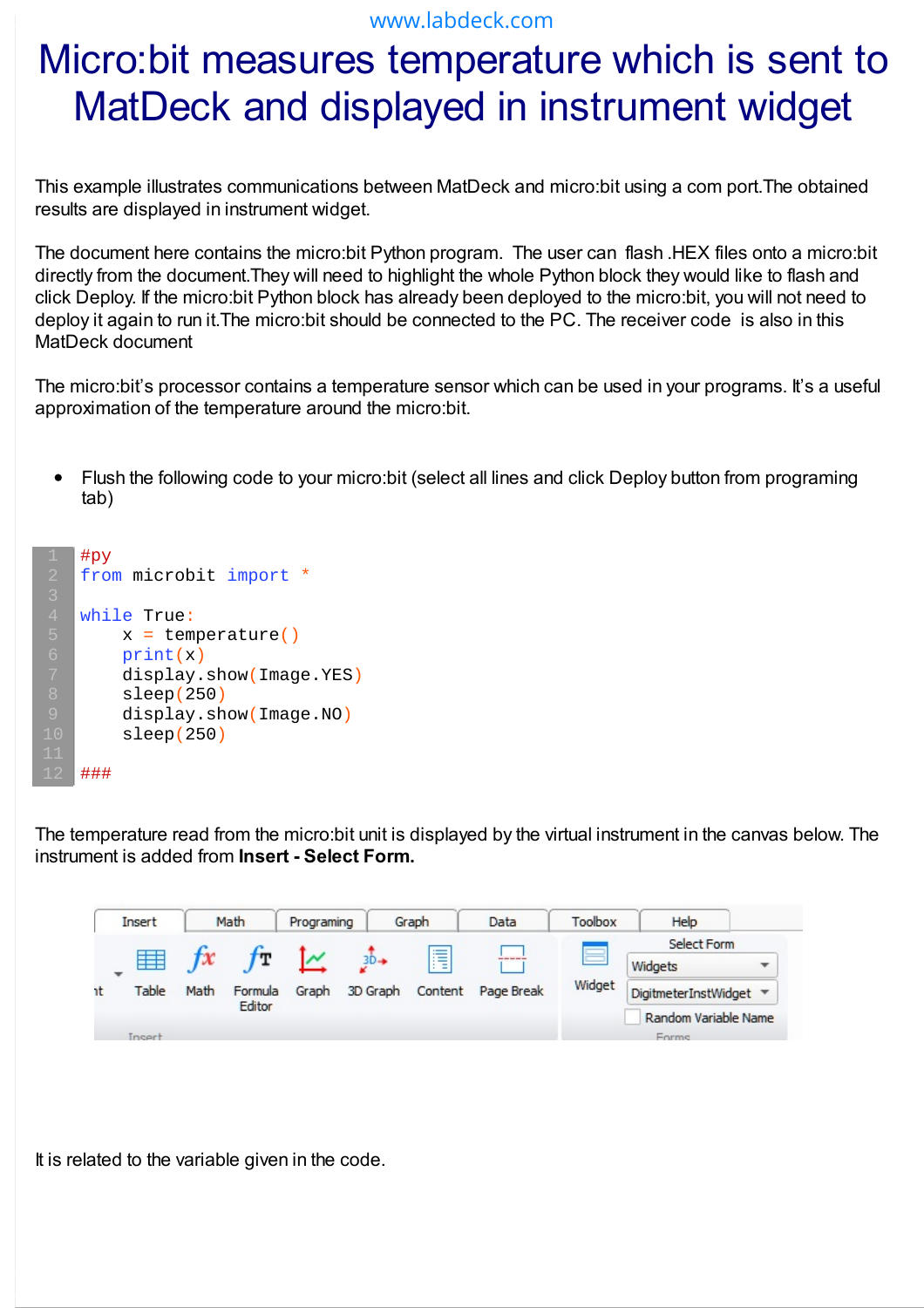## www.labdeck.com

## Micro:bit measures temperature which is sent to MatDeck and displayed in instrument widget

This example illustrates communications between MatDeck and micro:bit using a com port.The obtained results are displayed in instrument widget.

The document here contains the micro:bit Python program. The user can flash .HEX files onto a micro:bit directly from the document.They will need to highlight the whole Python block they would like to flash and click Deploy. If the micro:bit Python block has already been deployed to the micro:bit, you will not need to deploy it again to run it.The micro:bit should be connected to the PC. The receiver code is also in this MatDeck document

The micro:bit's processor contains a temperature sensor which can be used in your programs. It's a useful approximation of the temperature around the micro:bit.

Flush the following code to your micro:bit (select all lines and click Deploy button from programing  $\bullet$ tab)

```
#py
from microbit import *
while True:
    x = temperature()
    print(x)
     display.show(Image.YES)
     sleep(250)
     display.show(Image.NO)
     sleep(250)
###
```
The temperature read from the micro:bit unit is displayed by the virtual instrument in the canvas below. The instrument is added from **Insert - Select Form.**



It is related to the variable given in the code.